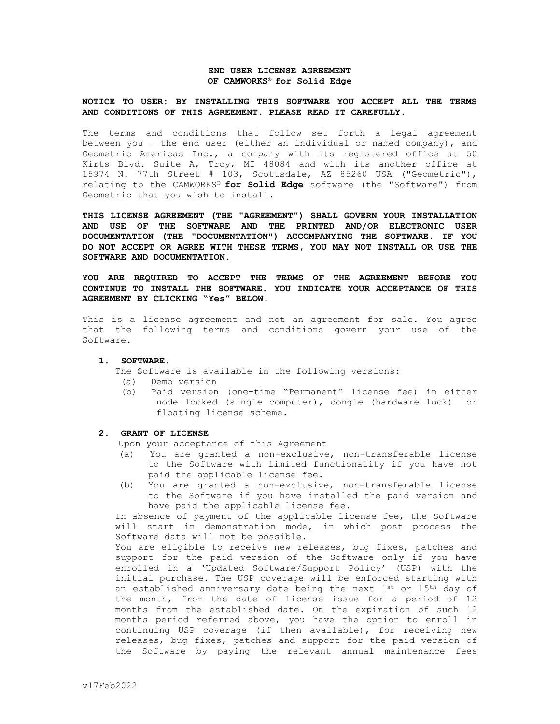## **END USER LICENSE AGREEMENT OF CAMWORKS® for Solid Edge**

## **NOTICE TO USER: BY INSTALLING THIS SOFTWARE YOU ACCEPT ALL THE TERMS AND CONDITIONS OF THIS AGREEMENT. PLEASE READ IT CAREFULLY.**

The terms and conditions that follow set forth a legal agreement between you – the end user (either an individual or named company), and Geometric Americas Inc., a company with its registered office at 50 Kirts Blvd. Suite A, Troy, MI 48084 and with its another office at 15974 N. 77th Street # 103, Scottsdale, AZ 85260 USA ("Geometric"), relating to the CAMWORKS® **for Solid Edge** software (the "Software") from Geometric that you wish to install.

**THIS LICENSE AGREEMENT (THE "AGREEMENT") SHALL GOVERN YOUR INSTALLATION AND USE OF THE SOFTWARE AND THE PRINTED AND/OR ELECTRONIC USER DOCUMENTATION (THE "DOCUMENTATION") ACCOMPANYING THE SOFTWARE. IF YOU DO NOT ACCEPT OR AGREE WITH THESE TERMS, YOU MAY NOT INSTALL OR USE THE SOFTWARE AND DOCUMENTATION.** 

**YOU ARE REQUIRED TO ACCEPT THE TERMS OF THE AGREEMENT BEFORE YOU CONTINUE TO INSTALL THE SOFTWARE. YOU INDICATE YOUR ACCEPTANCE OF THIS AGREEMENT BY CLICKING "Yes" BELOW.**

This is a license agreement and not an agreement for sale. You agree that the following terms and conditions govern your use of the Software.

## **1. SOFTWARE.**

The Software is available in the following versions:

- (a) Demo version
- (b) Paid version (one-time "Permanent" license fee) in either node locked (single computer), dongle (hardware lock) or floating license scheme.
- **2. GRANT OF LICENSE**

Upon your acceptance of this Agreement

- (a) You are granted a non-exclusive, non-transferable license to the Software with limited functionality if you have not paid the applicable license fee.
- (b) You are granted a non-exclusive, non-transferable license to the Software if you have installed the paid version and have paid the applicable license fee.

In absence of payment of the applicable license fee, the Software will start in demonstration mode, in which post process the Software data will not be possible.

You are eligible to receive new releases, bug fixes, patches and support for the paid version of the Software only if you have enrolled in a 'Updated Software/Support Policy' (USP) with the initial purchase. The USP coverage will be enforced starting with an established anniversary date being the next 1st or 15th day of the month, from the date of license issue for a period of 12 months from the established date. On the expiration of such 12 months period referred above, you have the option to enroll in continuing USP coverage (if then available), for receiving new releases, bug fixes, patches and support for the paid version of the Software by paying the relevant annual maintenance fees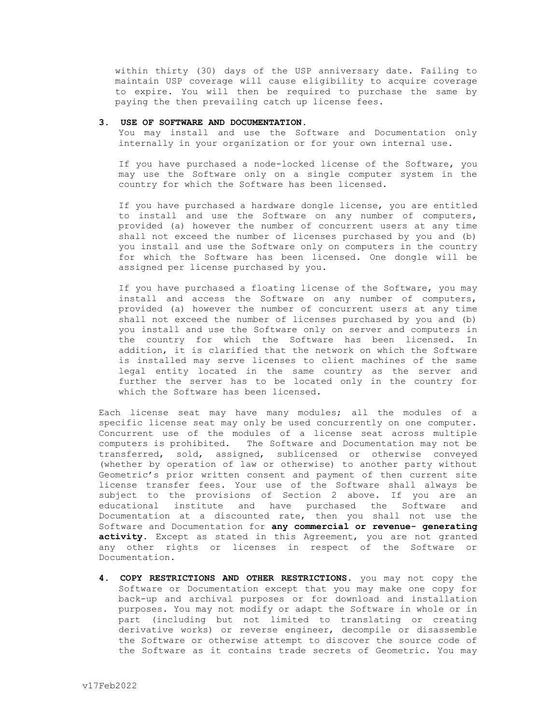within thirty (30) days of the USP anniversary date. Failing to maintain USP coverage will cause eligibility to acquire coverage to expire. You will then be required to purchase the same by paying the then prevailing catch up license fees.

## **3. USE OF SOFTWARE AND DOCUMENTATION.**

You may install and use the Software and Documentation only internally in your organization or for your own internal use.

If you have purchased a node-locked license of the Software, you may use the Software only on a single computer system in the country for which the Software has been licensed.

If you have purchased a hardware dongle license, you are entitled to install and use the Software on any number of computers, provided (a) however the number of concurrent users at any time shall not exceed the number of licenses purchased by you and (b) you install and use the Software only on computers in the country for which the Software has been licensed. One dongle will be assigned per license purchased by you.

If you have purchased a floating license of the Software, you may install and access the Software on any number of computers, provided (a) however the number of concurrent users at any time shall not exceed the number of licenses purchased by you and (b) you install and use the Software only on server and computers in the country for which the Software has been licensed. In addition, it is clarified that the network on which the Software is installed may serve licenses to client machines of the same legal entity located in the same country as the server and further the server has to be located only in the country for which the Software has been licensed.

Each license seat may have many modules; all the modules of a specific license seat may only be used concurrently on one computer. Concurrent use of the modules of a license seat across multiple computers is prohibited. The Software and Documentation may not be transferred, sold, assigned, sublicensed or otherwise conveyed (whether by operation of law or otherwise) to another party without Geometric's prior written consent and payment of then current site license transfer fees. Your use of the Software shall always be subject to the provisions of Section 2 above. If you are an educational institute and have purchased the Software and Documentation at a discounted rate, then you shall not use the Software and Documentation for **any commercial or revenue- generating**  activity. Except as stated in this Agreement, you are not granted any other rights or licenses in respect of the Software or Documentation.

**4. COPY RESTRICTIONS AND OTHER RESTRICTIONS.** you may not copy the Software or Documentation except that you may make one copy for back-up and archival purposes or for download and installation purposes. You may not modify or adapt the Software in whole or in part (including but not limited to translating or creating derivative works) or reverse engineer, decompile or disassemble the Software or otherwise attempt to discover the source code of the Software as it contains trade secrets of Geometric. You may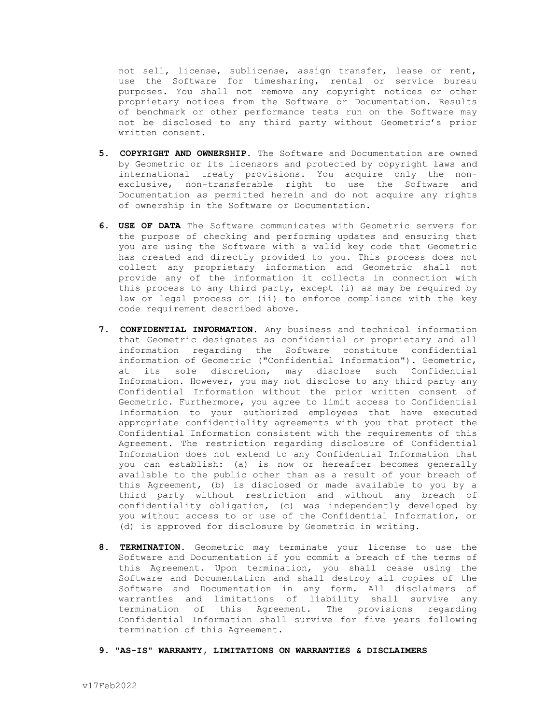not sell, license, sublicense, assign transfer, lease or rent, use the Software for timesharing, rental or service bureau purposes. You shall not remove any copyright notices or other proprietary notices from the Software or Documentation. Results of benchmark or other performance tests run on the Software may not be disclosed to any third party without Geometric's prior written consent.

- **5. COPYRIGHT AND OWNERSHIP.** The Software and Documentation are owned by Geometric or its licensors and protected by copyright laws and international treaty provisions. You acquire only the nonexclusive, non-transferable right to use the Software and Documentation as permitted herein and do not acquire any rights of ownership in the Software or Documentation.
- **6. USE OF DATA** The Software communicates with Geometric servers for the purpose of checking and performing updates and ensuring that you are using the Software with a valid key code that Geometric has created and directly provided to you. This process does not collect any proprietary information and Geometric shall not provide any of the information it collects in connection with this process to any third party, except (i) as may be required by law or legal process or (ii) to enforce compliance with the key code requirement described above.
- **7. CONFIDENTIAL INFORMATION.** Any business and technical information that Geometric designates as confidential or proprietary and all information regarding the Software constitute confidential information of Geometric ("Confidential Information"). Geometric, at its sole discretion, may disclose such Confidential Information. However, you may not disclose to any third party any Confidential Information without the prior written consent of Geometric. Furthermore, you agree to limit access to Confidential Information to your authorized employees that have executed appropriate confidentiality agreements with you that protect the Confidential Information consistent with the requirements of this Agreement. The restriction regarding disclosure of Confidential Information does not extend to any Confidential Information that you can establish: (a) is now or hereafter becomes generally available to the public other than as a result of your breach of this Agreement, (b) is disclosed or made available to you by a third party without restriction and without any breach of confidentiality obligation, (c) was independently developed by you without access to or use of the Confidential Information, or (d) is approved for disclosure by Geometric in writing.
- **8. TERMINATION.** Geometric may terminate your license to use the Software and Documentation if you commit a breach of the terms of this Agreement. Upon termination, you shall cease using the Software and Documentation and shall destroy all copies of the Software and Documentation in any form. All disclaimers of warranties and limitations of liability shall survive any termination of this Agreement. The provisions regarding Confidential Information shall survive for five years following termination of this Agreement.
- **9. "AS-IS" WARRANTY, LIMITATIONS ON WARRANTIES & DISCLAIMERS**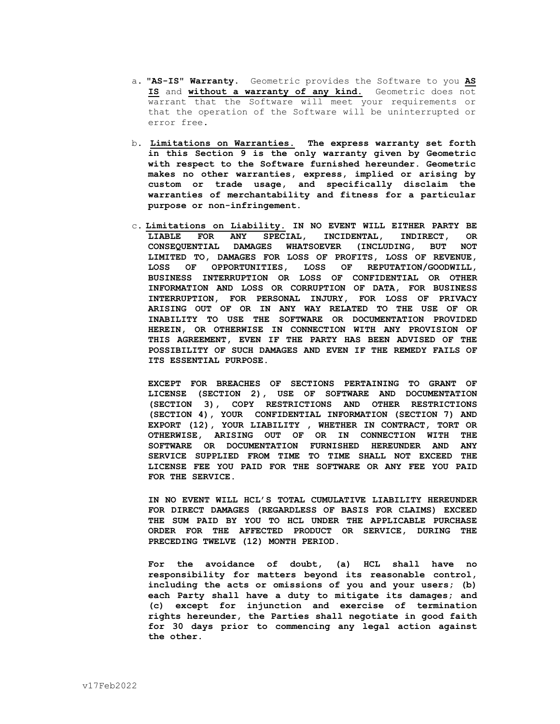- a. **"AS-IS" Warranty.** Geometric provides the Software to you **AS IS** and **without a warranty of any kind.** Geometric does not warrant that the Software will meet your requirements or that the operation of the Software will be uninterrupted or error free**.**
- b. **Limitations on Warranties. The express warranty set forth in this Section 9 is the only warranty given by Geometric with respect to the Software furnished hereunder. Geometric makes no other warranties, express, implied or arising by custom or trade usage, and specifically disclaim the warranties of merchantability and fitness for a particular purpose or non-infringement.**
- c**. Limitations on Liability. IN NO EVENT WILL EITHER PARTY BE LIABLE FOR ANY SPECIAL, INCIDENTAL, INDIRECT, OR CONSEQUENTIAL DAMAGES WHATSOEVER (INCLUDING, BUT NOT LIMITED TO, DAMAGES FOR LOSS OF PROFITS, LOSS OF REVENUE, LOSS OF OPPORTUNITIES, LOSS OF REPUTATION/GOODWILL, BUSINESS INTERRUPTION OR LOSS OF CONFIDENTIAL OR OTHER INFORMATION AND LOSS OR CORRUPTION OF DATA, FOR BUSINESS INTERRUPTION, FOR PERSONAL INJURY, FOR LOSS OF PRIVACY ARISING OUT OF OR IN ANY WAY RELATED TO THE USE OF OR INABILITY TO USE THE SOFTWARE OR DOCUMENTATION PROVIDED HEREIN, OR OTHERWISE IN CONNECTION WITH ANY PROVISION OF THIS AGREEMENT, EVEN IF THE PARTY HAS BEEN ADVISED OF THE POSSIBILITY OF SUCH DAMAGES AND EVEN IF THE REMEDY FAILS OF ITS ESSENTIAL PURPOSE.**

**EXCEPT FOR BREACHES OF SECTIONS PERTAINING TO GRANT OF LICENSE (SECTION 2), USE OF SOFTWARE AND DOCUMENTATION (SECTION 3), COPY RESTRICTIONS AND OTHER RESTRICTIONS (SECTION 4), YOUR CONFIDENTIAL INFORMATION (SECTION 7) AND EXPORT (12), YOUR LIABILITY , WHETHER IN CONTRACT, TORT OR OTHERWISE, ARISING OUT OF OR IN CONNECTION WITH THE SOFTWARE OR DOCUMENTATION FURNISHED HEREUNDER AND ANY SERVICE SUPPLIED FROM TIME TO TIME SHALL NOT EXCEED THE LICENSE FEE YOU PAID FOR THE SOFTWARE OR ANY FEE YOU PAID FOR THE SERVICE.**

**IN NO EVENT WILL HCL'S TOTAL CUMULATIVE LIABILITY HEREUNDER FOR DIRECT DAMAGES (REGARDLESS OF BASIS FOR CLAIMS) EXCEED THE SUM PAID BY YOU TO HCL UNDER THE APPLICABLE PURCHASE ORDER FOR THE AFFECTED PRODUCT OR SERVICE, DURING THE PRECEDING TWELVE (12) MONTH PERIOD.**

**For the avoidance of doubt, (a) HCL shall have no responsibility for matters beyond its reasonable control, including the acts or omissions of you and your users; (b) each Party shall have a duty to mitigate its damages; and (c) except for injunction and exercise of termination rights hereunder, the Parties shall negotiate in good faith for 30 days prior to commencing any legal action against the other.**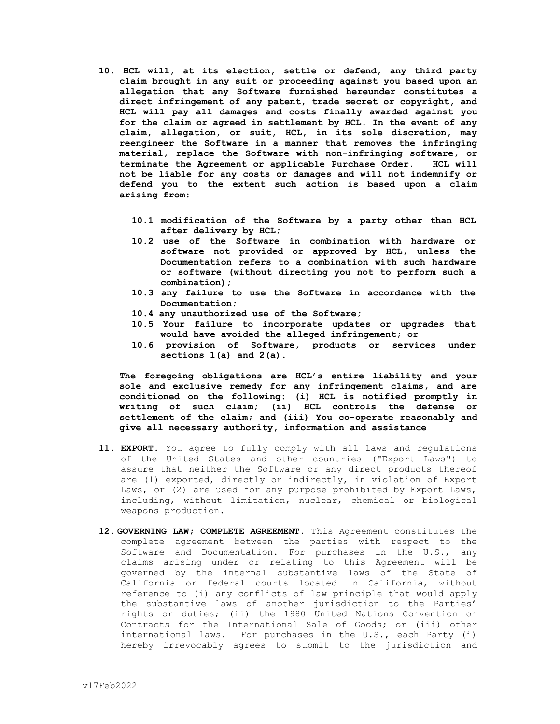- **10. HCL will, at its election, settle or defend, any third party claim brought in any suit or proceeding against you based upon an allegation that any Software furnished hereunder constitutes a direct infringement of any patent, trade secret or copyright, and HCL will pay all damages and costs finally awarded against you for the claim or agreed in settlement by HCL. In the event of any claim, allegation, or suit, HCL, in its sole discretion, may reengineer the Software in a manner that removes the infringing material, replace the Software with non-infringing software, or terminate the Agreement or applicable Purchase Order. HCL will not be liable for any costs or damages and will not indemnify or defend you to the extent such action is based upon a claim arising from:** 
	- **10.1 modification of the Software by a party other than HCL after delivery by HCL;**
	- **10.2 use of the Software in combination with hardware or software not provided or approved by HCL, unless the Documentation refers to a combination with such hardware or software (without directing you not to perform such a combination);**
	- **10.3 any failure to use the Software in accordance with the Documentation;**
	- **10.4 any unauthorized use of the Software;**
	- **10.5 Your failure to incorporate updates or upgrades that would have avoided the alleged infringement; or**
	- **10.6 provision of Software, products or services under sections 1(a) and 2(a).**

**The foregoing obligations are HCL's entire liability and your sole and exclusive remedy for any infringement claims, and are conditioned on the following: (i) HCL is notified promptly in writing of such claim; (ii) HCL controls the defense or settlement of the claim; and (iii) You co-operate reasonably and give all necessary authority, information and assistance**

- **11. EXPORT.** You agree to fully comply with all laws and regulations of the United States and other countries ("Export Laws") to assure that neither the Software or any direct products thereof are (1) exported, directly or indirectly, in violation of Export Laws, or (2) are used for any purpose prohibited by Export Laws, including, without limitation, nuclear, chemical or biological weapons production.
- **12. GOVERNING LAW; COMPLETE AGREEMENT.** This Agreement constitutes the complete agreement between the parties with respect to the Software and Documentation. For purchases in the U.S., any claims arising under or relating to this Agreement will be governed by the internal substantive laws of the State of California or federal courts located in California, without reference to (i) any conflicts of law principle that would apply the substantive laws of another jurisdiction to the Parties' rights or duties; (ii) the 1980 United Nations Convention on Contracts for the International Sale of Goods; or (iii) other international laws. For purchases in the U.S., each Party (i) hereby irrevocably agrees to submit to the jurisdiction and